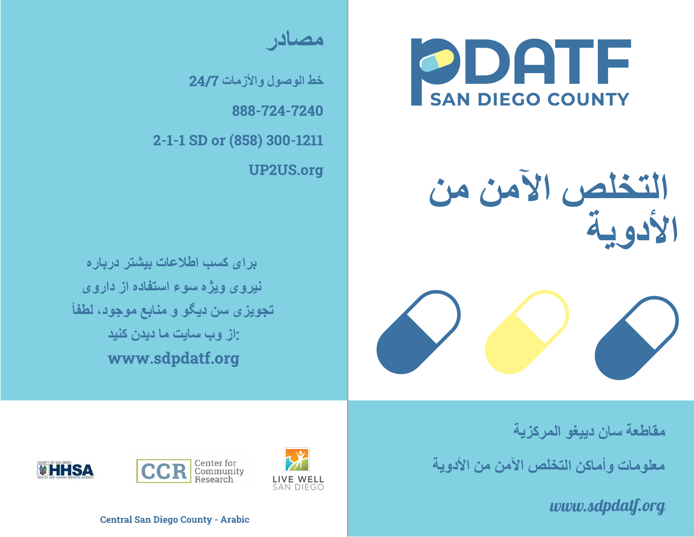ODATF **SAN DIEGO COUNTY** 

**التخلص الآمن من الأدویة**

**مصادر**

**خط الوصول والأزمات** 24/7 <u>999 - 10 - 10 - 1</u> 2-1-1 SD or (858) 300-1211 UP2US.org

**برای کسب اطلاعات بیشتر درباره نیروی ویژه سوء استفاده از داروی تجویزی سن دیگو و منابع موجود، لطفاً** :**از وب سایت ما دیدن کنید** www.sdpdatf.org

**مقاطعة سان دییغو المركزیة**

**معلومات وأماكن التخلص الآمن من الأدویة**

*www.sdpdatf.org*







Central San Diego County - Arabic